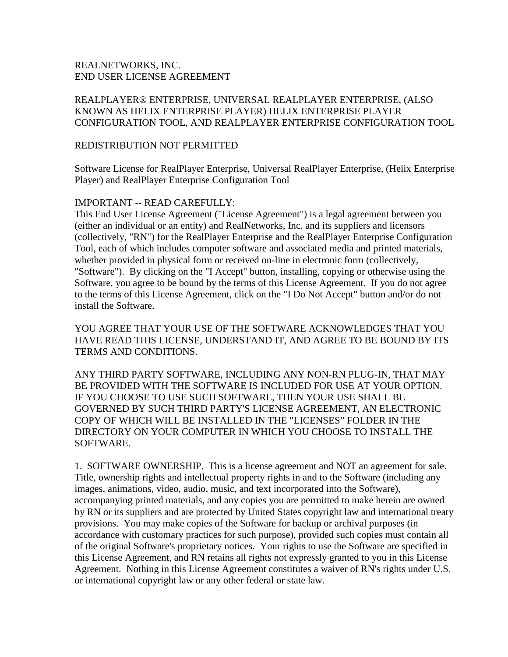# REALNETWORKS, INC. END USER LICENSE AGREEMENT

# REALPLAYER® ENTERPRISE, UNIVERSAL REALPLAYER ENTERPRISE, (ALSO KNOWN AS HELIX ENTERPRISE PLAYER) HELIX ENTERPRISE PLAYER CONFIGURATION TOOL, AND REALPLAYER ENTERPRISE CONFIGURATION TOOL

#### REDISTRIBUTION NOT PERMITTED

Software License for RealPlayer Enterprise, Universal RealPlayer Enterprise, (Helix Enterprise Player) and RealPlayer Enterprise Configuration Tool

### IMPORTANT -- READ CAREFULLY:

This End User License Agreement ("License Agreement") is a legal agreement between you (either an individual or an entity) and RealNetworks, Inc. and its suppliers and licensors (collectively, "RN") for the RealPlayer Enterprise and the RealPlayer Enterprise Configuration Tool, each of which includes computer software and associated media and printed materials, whether provided in physical form or received on-line in electronic form (collectively, "Software"). By clicking on the "I Accept" button, installing, copying or otherwise using the Software, you agree to be bound by the terms of this License Agreement. If you do not agree to the terms of this License Agreement, click on the "I Do Not Accept" button and/or do not install the Software.

YOU AGREE THAT YOUR USE OF THE SOFTWARE ACKNOWLEDGES THAT YOU HAVE READ THIS LICENSE, UNDERSTAND IT, AND AGREE TO BE BOUND BY ITS TERMS AND CONDITIONS.

ANY THIRD PARTY SOFTWARE, INCLUDING ANY NON-RN PLUG-IN, THAT MAY BE PROVIDED WITH THE SOFTWARE IS INCLUDED FOR USE AT YOUR OPTION. IF YOU CHOOSE TO USE SUCH SOFTWARE, THEN YOUR USE SHALL BE GOVERNED BY SUCH THIRD PARTY'S LICENSE AGREEMENT, AN ELECTRONIC COPY OF WHICH WILL BE INSTALLED IN THE "LICENSES" FOLDER IN THE DIRECTORY ON YOUR COMPUTER IN WHICH YOU CHOOSE TO INSTALL THE SOFTWARE.

1. SOFTWARE OWNERSHIP. This is a license agreement and NOT an agreement for sale. Title, ownership rights and intellectual property rights in and to the Software (including any images, animations, video, audio, music, and text incorporated into the Software), accompanying printed materials, and any copies you are permitted to make herein are owned by RN or its suppliers and are protected by United States copyright law and international treaty provisions. You may make copies of the Software for backup or archival purposes (in accordance with customary practices for such purpose), provided such copies must contain all of the original Software's proprietary notices. Your rights to use the Software are specified in this License Agreement, and RN retains all rights not expressly granted to you in this License Agreement. Nothing in this License Agreement constitutes a waiver of RN's rights under U.S. or international copyright law or any other federal or state law.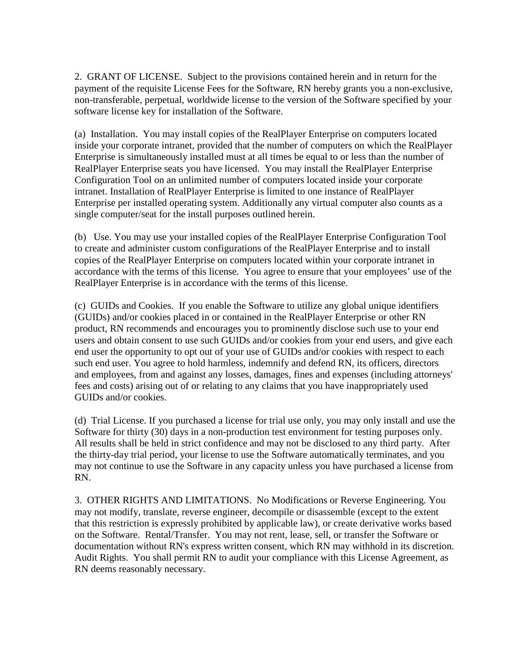2. GRANT OF LICENSE. Subject to the provisions contained herein and in return for the payment of the requisite License Fees for the Software, RN hereby grants you a non-exclusive, non-transferable, perpetual, worldwide license to the version of the Software specified by your software license key for installation of the Software.

(a) Installation. You may install copies of the RealPlayer Enterprise on computers located inside your corporate intranet, provided that the number of computers on which the RealPlayer Enterprise is simultaneously installed must at all times be equal to or less than the number of RealPlayer Enterprise seats you have licensed. You may install the RealPlayer Enterprise Configuration Tool on an unlimited number of computers located inside your corporate intranet. Installation of RealPlayer Enterprise is limited to one instance of RealPlayer Enterprise per installed operating system. Additionally any virtual computer also counts as a single computer/seat for the install purposes outlined herein.

(b) Use. You may use your installed copies of the RealPlayer Enterprise Configuration Tool to create and administer custom configurations of the RealPlayer Enterprise and to install copies of the RealPlayer Enterprise on computers located within your corporate intranet in accordance with the terms of this license. You agree to ensure that your employees' use of the RealPlayer Enterprise is in accordance with the terms of this license.

(c) GUIDs and Cookies. If you enable the Software to utilize any global unique identifiers (GUIDs) and/or cookies placed in or contained in the RealPlayer Enterprise or other RN product, RN recommends and encourages you to prominently disclose such use to your end users and obtain consent to use such GUIDs and/or cookies from your end users, and give each end user the opportunity to opt out of your use of GUIDs and/or cookies with respect to each such end user. You agree to hold harmless, indemnify and defend RN, its officers, directors and employees, from and against any losses, damages, fines and expenses (including attorneys' fees and costs) arising out of or relating to any claims that you have inappropriately used GUIDs and/or cookies.

(d) Trial License. If you purchased a license for trial use only, you may only install and use the Software for thirty (30) days in a non-production test environment for testing purposes only. All results shall be held in strict confidence and may not be disclosed to any third party. After the thirty-day trial period, your license to use the Software automatically terminates, and you may not continue to use the Software in any capacity unless you have purchased a license from RN.

3. OTHER RIGHTS AND LIMITATIONS. No Modifications or Reverse Engineering. You may not modify, translate, reverse engineer, decompile or disassemble (except to the extent that this restriction is expressly prohibited by applicable law), or create derivative works based on the Software. Rental/Transfer. You may not rent, lease, sell, or transfer the Software or documentation without RN's express written consent, which RN may withhold in its discretion. Audit Rights. You shall permit RN to audit your compliance with this License Agreement, as RN deems reasonably necessary.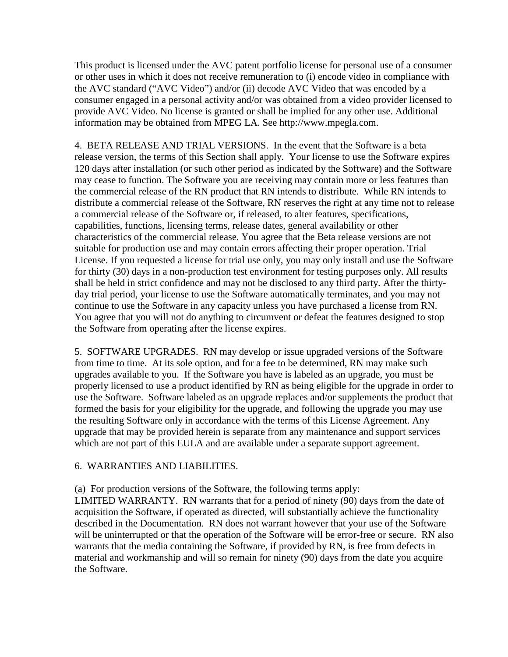This product is licensed under the AVC patent portfolio license for personal use of a consumer or other uses in which it does not receive remuneration to (i) encode video in compliance with the AVC standard ("AVC Video") and/or (ii) decode AVC Video that was encoded by a consumer engaged in a personal activity and/or was obtained from a video provider licensed to provide AVC Video. No license is granted or shall be implied for any other use. Additional information may be obtained from MPEG LA. See http://www.mpegla.com.

4. BETA RELEASE AND TRIAL VERSIONS. In the event that the Software is a beta release version, the terms of this Section shall apply. Your license to use the Software expires 120 days after installation (or such other period as indicated by the Software) and the Software may cease to function. The Software you are receiving may contain more or less features than the commercial release of the RN product that RN intends to distribute. While RN intends to distribute a commercial release of the Software, RN reserves the right at any time not to release a commercial release of the Software or, if released, to alter features, specifications, capabilities, functions, licensing terms, release dates, general availability or other characteristics of the commercial release. You agree that the Beta release versions are not suitable for production use and may contain errors affecting their proper operation. Trial License. If you requested a license for trial use only, you may only install and use the Software for thirty (30) days in a non-production test environment for testing purposes only. All results shall be held in strict confidence and may not be disclosed to any third party. After the thirtyday trial period, your license to use the Software automatically terminates, and you may not continue to use the Software in any capacity unless you have purchased a license from RN. You agree that you will not do anything to circumvent or defeat the features designed to stop the Software from operating after the license expires.

5. SOFTWARE UPGRADES. RN may develop or issue upgraded versions of the Software from time to time. At its sole option, and for a fee to be determined, RN may make such upgrades available to you. If the Software you have is labeled as an upgrade, you must be properly licensed to use a product identified by RN as being eligible for the upgrade in order to use the Software. Software labeled as an upgrade replaces and/or supplements the product that formed the basis for your eligibility for the upgrade, and following the upgrade you may use the resulting Software only in accordance with the terms of this License Agreement. Any upgrade that may be provided herein is separate from any maintenance and support services which are not part of this EULA and are available under a separate support agreement.

### 6. WARRANTIES AND LIABILITIES.

(a) For production versions of the Software, the following terms apply:

LIMITED WARRANTY. RN warrants that for a period of ninety (90) days from the date of acquisition the Software, if operated as directed, will substantially achieve the functionality described in the Documentation. RN does not warrant however that your use of the Software will be uninterrupted or that the operation of the Software will be error-free or secure. RN also warrants that the media containing the Software, if provided by RN, is free from defects in material and workmanship and will so remain for ninety (90) days from the date you acquire the Software.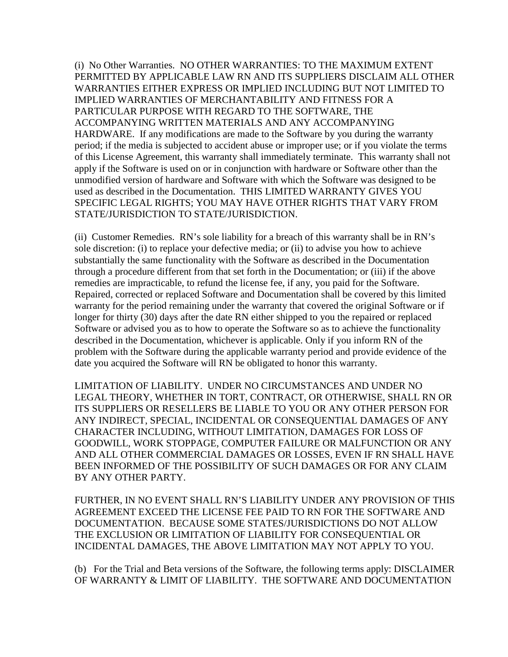(i) No Other Warranties. NO OTHER WARRANTIES: TO THE MAXIMUM EXTENT PERMITTED BY APPLICABLE LAW RN AND ITS SUPPLIERS DISCLAIM ALL OTHER WARRANTIES EITHER EXPRESS OR IMPLIED INCLUDING BUT NOT LIMITED TO IMPLIED WARRANTIES OF MERCHANTABILITY AND FITNESS FOR A PARTICULAR PURPOSE WITH REGARD TO THE SOFTWARE, THE ACCOMPANYING WRITTEN MATERIALS AND ANY ACCOMPANYING HARDWARE. If any modifications are made to the Software by you during the warranty period; if the media is subjected to accident abuse or improper use; or if you violate the terms of this License Agreement, this warranty shall immediately terminate. This warranty shall not apply if the Software is used on or in conjunction with hardware or Software other than the unmodified version of hardware and Software with which the Software was designed to be used as described in the Documentation. THIS LIMITED WARRANTY GIVES YOU SPECIFIC LEGAL RIGHTS; YOU MAY HAVE OTHER RIGHTS THAT VARY FROM STATE/JURISDICTION TO STATE/JURISDICTION.

(ii) Customer Remedies. RN's sole liability for a breach of this warranty shall be in RN's sole discretion: (i) to replace your defective media; or (ii) to advise you how to achieve substantially the same functionality with the Software as described in the Documentation through a procedure different from that set forth in the Documentation; or (iii) if the above remedies are impracticable, to refund the license fee, if any, you paid for the Software. Repaired, corrected or replaced Software and Documentation shall be covered by this limited warranty for the period remaining under the warranty that covered the original Software or if longer for thirty (30) days after the date RN either shipped to you the repaired or replaced Software or advised you as to how to operate the Software so as to achieve the functionality described in the Documentation, whichever is applicable. Only if you inform RN of the problem with the Software during the applicable warranty period and provide evidence of the date you acquired the Software will RN be obligated to honor this warranty.

LIMITATION OF LIABILITY. UNDER NO CIRCUMSTANCES AND UNDER NO LEGAL THEORY, WHETHER IN TORT, CONTRACT, OR OTHERWISE, SHALL RN OR ITS SUPPLIERS OR RESELLERS BE LIABLE TO YOU OR ANY OTHER PERSON FOR ANY INDIRECT, SPECIAL, INCIDENTAL OR CONSEQUENTIAL DAMAGES OF ANY CHARACTER INCLUDING, WITHOUT LIMITATION, DAMAGES FOR LOSS OF GOODWILL, WORK STOPPAGE, COMPUTER FAILURE OR MALFUNCTION OR ANY AND ALL OTHER COMMERCIAL DAMAGES OR LOSSES, EVEN IF RN SHALL HAVE BEEN INFORMED OF THE POSSIBILITY OF SUCH DAMAGES OR FOR ANY CLAIM BY ANY OTHER PARTY.

FURTHER, IN NO EVENT SHALL RN'S LIABILITY UNDER ANY PROVISION OF THIS AGREEMENT EXCEED THE LICENSE FEE PAID TO RN FOR THE SOFTWARE AND DOCUMENTATION. BECAUSE SOME STATES/JURISDICTIONS DO NOT ALLOW THE EXCLUSION OR LIMITATION OF LIABILITY FOR CONSEQUENTIAL OR INCIDENTAL DAMAGES, THE ABOVE LIMITATION MAY NOT APPLY TO YOU.

(b) For the Trial and Beta versions of the Software, the following terms apply: DISCLAIMER OF WARRANTY & LIMIT OF LIABILITY. THE SOFTWARE AND DOCUMENTATION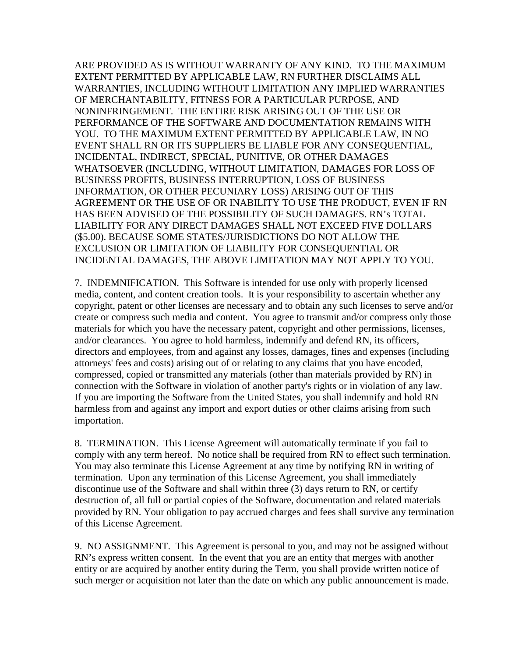ARE PROVIDED AS IS WITHOUT WARRANTY OF ANY KIND. TO THE MAXIMUM EXTENT PERMITTED BY APPLICABLE LAW, RN FURTHER DISCLAIMS ALL WARRANTIES, INCLUDING WITHOUT LIMITATION ANY IMPLIED WARRANTIES OF MERCHANTABILITY, FITNESS FOR A PARTICULAR PURPOSE, AND NONINFRINGEMENT. THE ENTIRE RISK ARISING OUT OF THE USE OR PERFORMANCE OF THE SOFTWARE AND DOCUMENTATION REMAINS WITH YOU. TO THE MAXIMUM EXTENT PERMITTED BY APPLICABLE LAW, IN NO EVENT SHALL RN OR ITS SUPPLIERS BE LIABLE FOR ANY CONSEQUENTIAL, INCIDENTAL, INDIRECT, SPECIAL, PUNITIVE, OR OTHER DAMAGES WHATSOEVER (INCLUDING, WITHOUT LIMITATION, DAMAGES FOR LOSS OF BUSINESS PROFITS, BUSINESS INTERRUPTION, LOSS OF BUSINESS INFORMATION, OR OTHER PECUNIARY LOSS) ARISING OUT OF THIS AGREEMENT OR THE USE OF OR INABILITY TO USE THE PRODUCT, EVEN IF RN HAS BEEN ADVISED OF THE POSSIBILITY OF SUCH DAMAGES. RN's TOTAL LIABILITY FOR ANY DIRECT DAMAGES SHALL NOT EXCEED FIVE DOLLARS (\$5.00). BECAUSE SOME STATES/JURISDICTIONS DO NOT ALLOW THE EXCLUSION OR LIMITATION OF LIABILITY FOR CONSEQUENTIAL OR INCIDENTAL DAMAGES, THE ABOVE LIMITATION MAY NOT APPLY TO YOU.

7. INDEMNIFICATION. This Software is intended for use only with properly licensed media, content, and content creation tools. It is your responsibility to ascertain whether any copyright, patent or other licenses are necessary and to obtain any such licenses to serve and/or create or compress such media and content. You agree to transmit and/or compress only those materials for which you have the necessary patent, copyright and other permissions, licenses, and/or clearances. You agree to hold harmless, indemnify and defend RN, its officers, directors and employees, from and against any losses, damages, fines and expenses (including attorneys' fees and costs) arising out of or relating to any claims that you have encoded, compressed, copied or transmitted any materials (other than materials provided by RN) in connection with the Software in violation of another party's rights or in violation of any law. If you are importing the Software from the United States, you shall indemnify and hold RN harmless from and against any import and export duties or other claims arising from such importation.

8. TERMINATION. This License Agreement will automatically terminate if you fail to comply with any term hereof. No notice shall be required from RN to effect such termination. You may also terminate this License Agreement at any time by notifying RN in writing of termination. Upon any termination of this License Agreement, you shall immediately discontinue use of the Software and shall within three (3) days return to RN, or certify destruction of, all full or partial copies of the Software, documentation and related materials provided by RN. Your obligation to pay accrued charges and fees shall survive any termination of this License Agreement.

9. NO ASSIGNMENT. This Agreement is personal to you, and may not be assigned without RN's express written consent. In the event that you are an entity that merges with another entity or are acquired by another entity during the Term, you shall provide written notice of such merger or acquisition not later than the date on which any public announcement is made.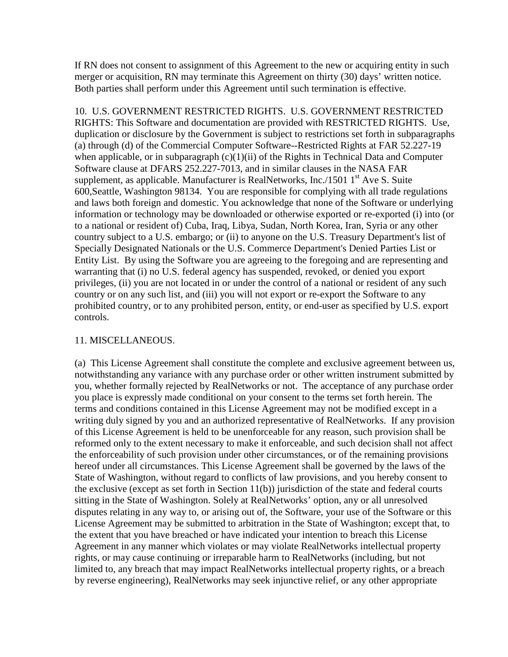If RN does not consent to assignment of this Agreement to the new or acquiring entity in such merger or acquisition, RN may terminate this Agreement on thirty (30) days' written notice. Both parties shall perform under this Agreement until such termination is effective.

10. U.S. GOVERNMENT RESTRICTED RIGHTS. U.S. GOVERNMENT RESTRICTED RIGHTS: This Software and documentation are provided with RESTRICTED RIGHTS. Use, duplication or disclosure by the Government is subject to restrictions set forth in subparagraphs (a) through (d) of the Commercial Computer Software--Restricted Rights at FAR 52.227-19 when applicable, or in subparagraph  $(c)(1)(ii)$  of the Rights in Technical Data and Computer Software clause at DFARS 252.227-7013, and in similar clauses in the NASA FAR supplement, as applicable. Manufacturer is RealNetworks, Inc./1501  $1<sup>st</sup>$  Ave S. Suite 600,Seattle, Washington 98134. You are responsible for complying with all trade regulations and laws both foreign and domestic. You acknowledge that none of the Software or underlying information or technology may be downloaded or otherwise exported or re-exported (i) into (or to a national or resident of) Cuba, Iraq, Libya, Sudan, North Korea, Iran, Syria or any other country subject to a U.S. embargo; or (ii) to anyone on the U.S. Treasury Department's list of Specially Designated Nationals or the U.S. Commerce Department's Denied Parties List or Entity List. By using the Software you are agreeing to the foregoing and are representing and warranting that (i) no U.S. federal agency has suspended, revoked, or denied you export privileges, (ii) you are not located in or under the control of a national or resident of any such country or on any such list, and (iii) you will not export or re-export the Software to any prohibited country, or to any prohibited person, entity, or end-user as specified by U.S. export controls.

### 11. MISCELLANEOUS.

(a) This License Agreement shall constitute the complete and exclusive agreement between us, notwithstanding any variance with any purchase order or other written instrument submitted by you, whether formally rejected by RealNetworks or not. The acceptance of any purchase order you place is expressly made conditional on your consent to the terms set forth herein. The terms and conditions contained in this License Agreement may not be modified except in a writing duly signed by you and an authorized representative of RealNetworks. If any provision of this License Agreement is held to be unenforceable for any reason, such provision shall be reformed only to the extent necessary to make it enforceable, and such decision shall not affect the enforceability of such provision under other circumstances, or of the remaining provisions hereof under all circumstances. This License Agreement shall be governed by the laws of the State of Washington, without regard to conflicts of law provisions, and you hereby consent to the exclusive (except as set forth in Section 11(b)) jurisdiction of the state and federal courts sitting in the State of Washington. Solely at RealNetworks' option, any or all unresolved disputes relating in any way to, or arising out of, the Software, your use of the Software or this License Agreement may be submitted to arbitration in the State of Washington; except that, to the extent that you have breached or have indicated your intention to breach this License Agreement in any manner which violates or may violate RealNetworks intellectual property rights, or may cause continuing or irreparable harm to RealNetworks (including, but not limited to, any breach that may impact RealNetworks intellectual property rights, or a breach by reverse engineering), RealNetworks may seek injunctive relief, or any other appropriate